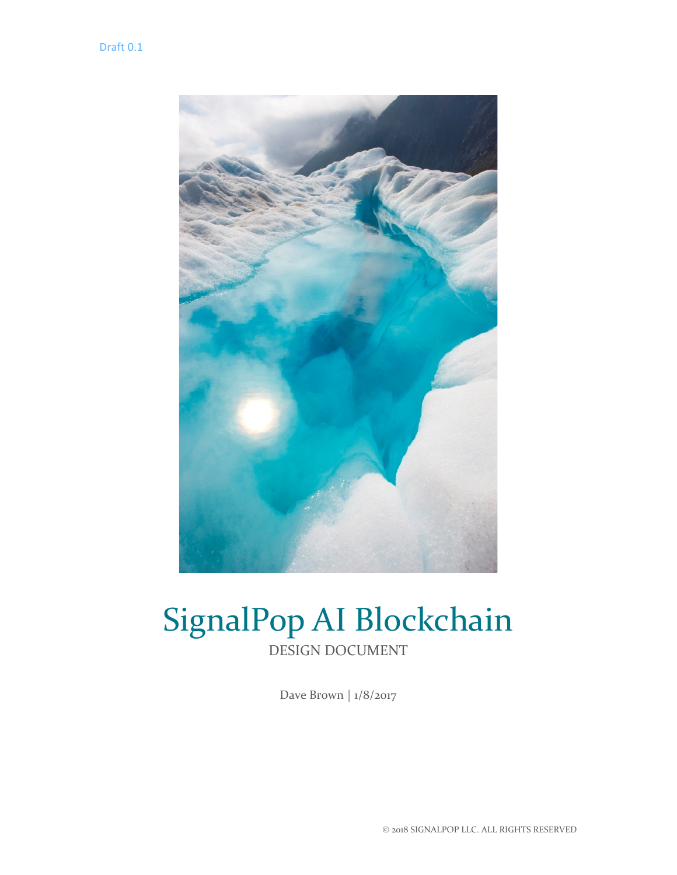

# SignalPop AI Blockchain DESIGN DOCUMENT

Dave Brown | 1/8/2017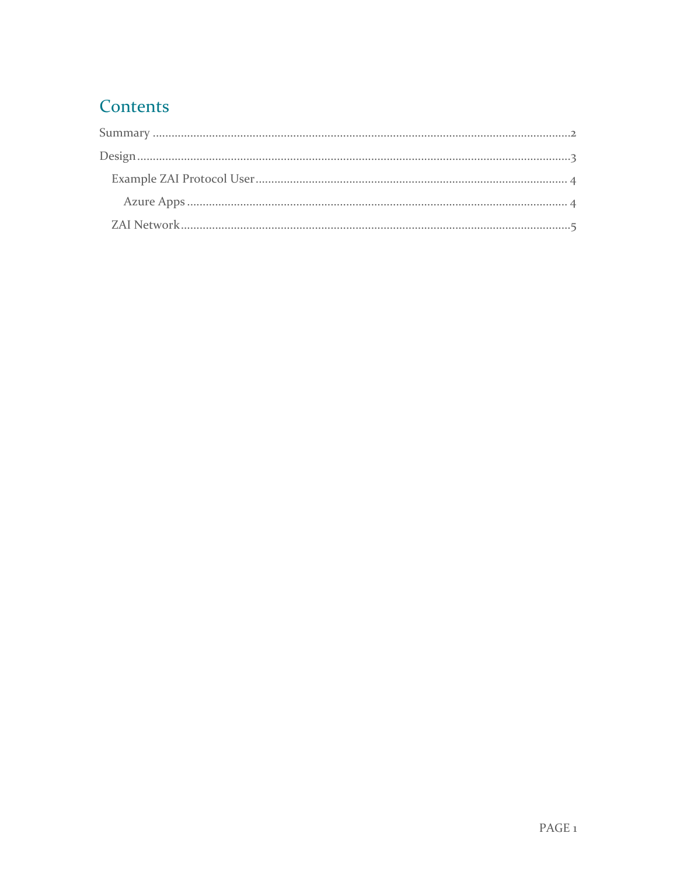## Contents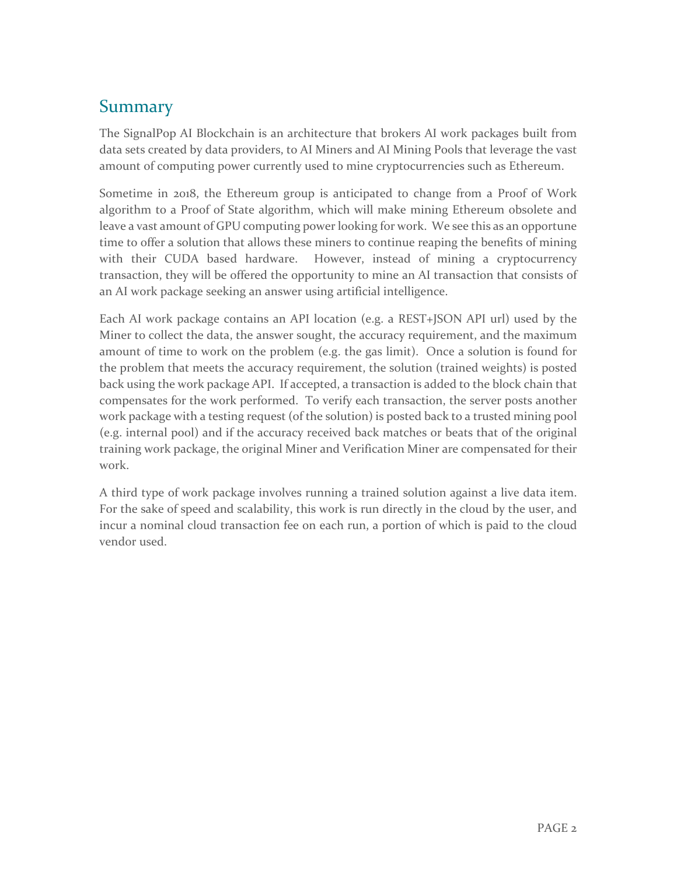### <span id="page-2-0"></span>Summary

The SignalPop AI Blockchain is an architecture that brokers AI work packages built from data sets created by data providers, to AI Miners and AI Mining Pools that leverage the vast amount of computing power currently used to mine cryptocurrencies such as Ethereum.

Sometime in 2018, the Ethereum group is anticipated to change from a Proof of Work algorithm to a Proof of State algorithm, which will make mining Ethereum obsolete and leave a vast amount of GPU computing power looking for work. We see this as an opportune time to offer a solution that allows these miners to continue reaping the benefits of mining with their CUDA based hardware. However, instead of mining a cryptocurrency transaction, they will be offered the opportunity to mine an AI transaction that consists of an AI work package seeking an answer using artificial intelligence.

Each AI work package contains an API location (e.g. a REST+JSON API url) used by the Miner to collect the data, the answer sought, the accuracy requirement, and the maximum amount of time to work on the problem (e.g. the gas limit). Once a solution is found for the problem that meets the accuracy requirement, the solution (trained weights) is posted back using the work package API. If accepted, a transaction is added to the block chain that compensates for the work performed. To verify each transaction, the server posts another work package with a testing request (of the solution) is posted back to a trusted mining pool (e.g. internal pool) and if the accuracy received back matches or beats that of the original training work package, the original Miner and Verification Miner are compensated for their work.

A third type of work package involves running a trained solution against a live data item. For the sake of speed and scalability, this work is run directly in the cloud by the user, and incur a nominal cloud transaction fee on each run, a portion of which is paid to the cloud vendor used.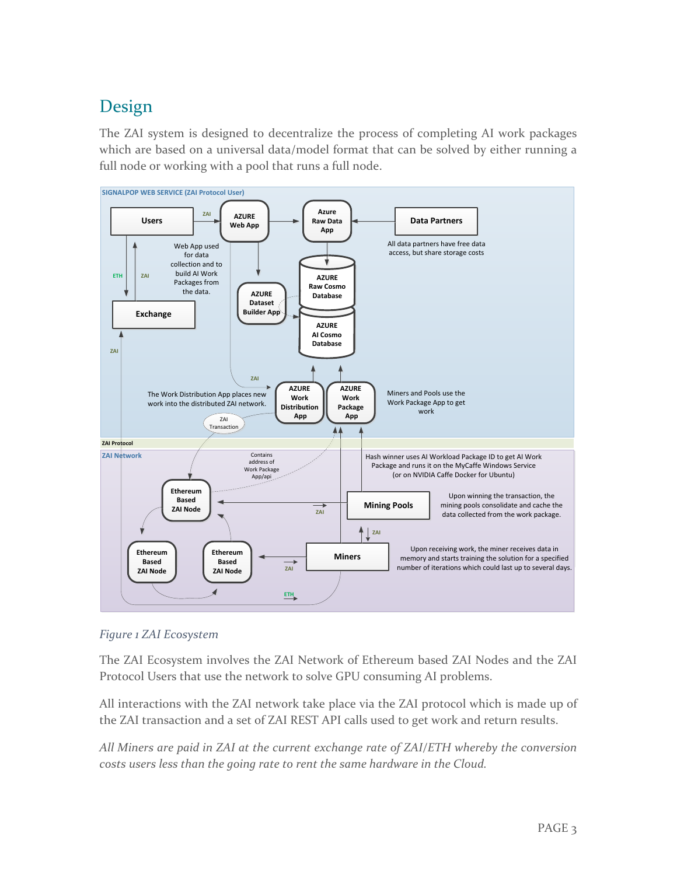### <span id="page-3-0"></span>Design

The ZAI system is designed to decentralize the process of completing AI work packages which are based on a universal data/model format that can be solved by either running a full node or working with a pool that runs a full node.



*Figure 1 ZAI Ecosystem*

The ZAI Ecosystem involves the ZAI Network of Ethereum based ZAI Nodes and the ZAI Protocol Users that use the network to solve GPU consuming AI problems.

All interactions with the ZAI network take place via the ZAI protocol which is made up of the ZAI transaction and a set of ZAI REST API calls used to get work and return results.

*All Miners are paid in ZAI at the current exchange rate of ZAI/ETH whereby the conversion costs users less than the going rate to rent the same hardware in the Cloud.*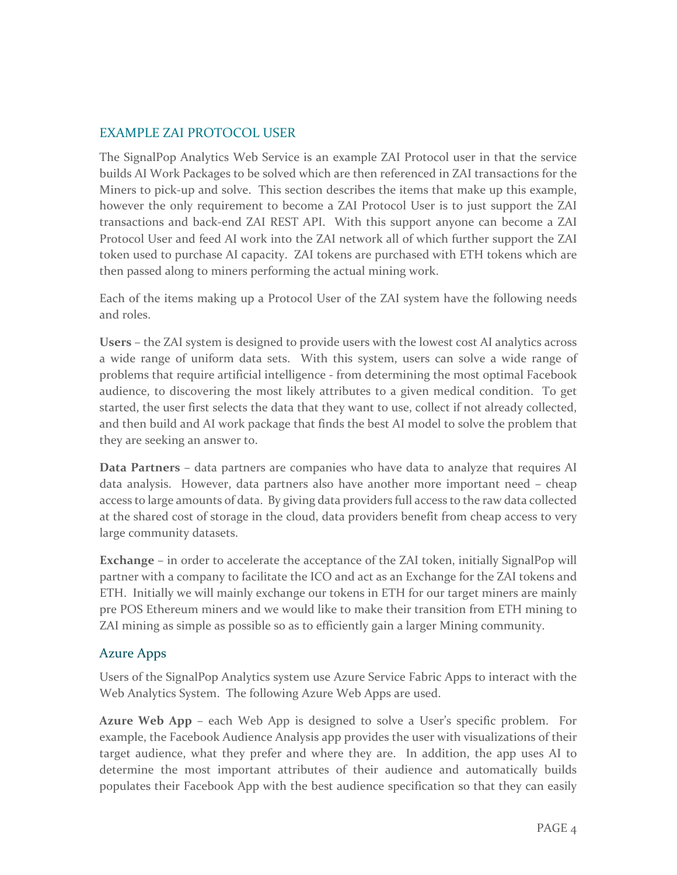#### <span id="page-4-0"></span>EXAMPLE ZAI PROTOCOL USER

The SignalPop Analytics Web Service is an example ZAI Protocol user in that the service builds AI Work Packages to be solved which are then referenced in ZAI transactions for the Miners to pick-up and solve. This section describes the items that make up this example, however the only requirement to become a ZAI Protocol User is to just support the ZAI transactions and back-end ZAI REST API. With this support anyone can become a ZAI Protocol User and feed AI work into the ZAI network all of which further support the ZAI token used to purchase AI capacity. ZAI tokens are purchased with ETH tokens which are then passed along to miners performing the actual mining work.

Each of the items making up a Protocol User of the ZAI system have the following needs and roles.

**Users** – the ZAI system is designed to provide users with the lowest cost AI analytics across a wide range of uniform data sets. With this system, users can solve a wide range of problems that require artificial intelligence - from determining the most optimal Facebook audience, to discovering the most likely attributes to a given medical condition. To get started, the user first selects the data that they want to use, collect if not already collected, and then build and AI work package that finds the best AI model to solve the problem that they are seeking an answer to.

**Data Partners** – data partners are companies who have data to analyze that requires AI data analysis. However, data partners also have another more important need – cheap access to large amounts of data. By giving data providers full access to the raw data collected at the shared cost of storage in the cloud, data providers benefit from cheap access to very large community datasets.

**Exchange** – in order to accelerate the acceptance of the ZAI token, initially SignalPop will partner with a company to facilitate the ICO and act as an Exchange for the ZAI tokens and ETH. Initially we will mainly exchange our tokens in ETH for our target miners are mainly pre POS Ethereum miners and we would like to make their transition from ETH mining to ZAI mining as simple as possible so as to efficiently gain a larger Mining community.

#### <span id="page-4-1"></span>Azure Apps

Users of the SignalPop Analytics system use Azure Service Fabric Apps to interact with the Web Analytics System. The following Azure Web Apps are used.

**Azure Web App** – each Web App is designed to solve a User's specific problem. For example, the Facebook Audience Analysis app provides the user with visualizations of their target audience, what they prefer and where they are. In addition, the app uses AI to determine the most important attributes of their audience and automatically builds populates their Facebook App with the best audience specification so that they can easily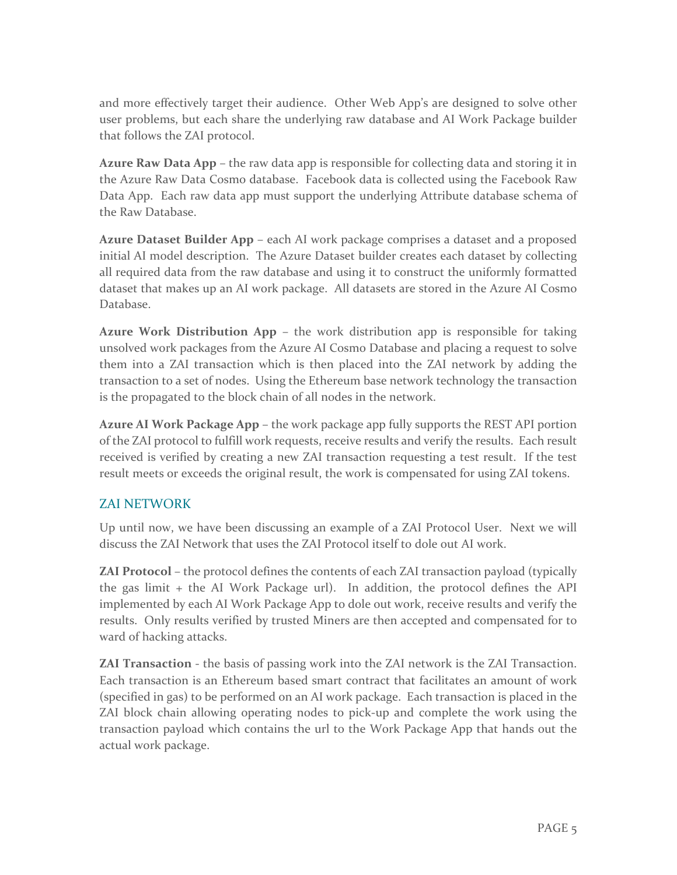and more effectively target their audience. Other Web App's are designed to solve other user problems, but each share the underlying raw database and AI Work Package builder that follows the ZAI protocol.

**Azure Raw Data App** – the raw data app is responsible for collecting data and storing it in the Azure Raw Data Cosmo database. Facebook data is collected using the Facebook Raw Data App. Each raw data app must support the underlying Attribute database schema of the Raw Database.

**Azure Dataset Builder App** – each AI work package comprises a dataset and a proposed initial AI model description. The Azure Dataset builder creates each dataset by collecting all required data from the raw database and using it to construct the uniformly formatted dataset that makes up an AI work package. All datasets are stored in the Azure AI Cosmo Database.

**Azure Work Distribution App** – the work distribution app is responsible for taking unsolved work packages from the Azure AI Cosmo Database and placing a request to solve them into a ZAI transaction which is then placed into the ZAI network by adding the transaction to a set of nodes. Using the Ethereum base network technology the transaction is the propagated to the block chain of all nodes in the network.

**Azure AI Work Package App** – the work package app fully supports the REST API portion of the ZAI protocol to fulfill work requests, receive results and verify the results. Each result received is verified by creating a new ZAI transaction requesting a test result. If the test result meets or exceeds the original result, the work is compensated for using ZAI tokens.

### <span id="page-5-0"></span>ZAI NETWORK

Up until now, we have been discussing an example of a ZAI Protocol User. Next we will discuss the ZAI Network that uses the ZAI Protocol itself to dole out AI work.

**ZAI Protocol** – the protocol defines the contents of each ZAI transaction payload (typically the gas limit + the AI Work Package url). In addition, the protocol defines the API implemented by each AI Work Package App to dole out work, receive results and verify the results. Only results verified by trusted Miners are then accepted and compensated for to ward of hacking attacks.

**ZAI Transaction** - the basis of passing work into the ZAI network is the ZAI Transaction. Each transaction is an Ethereum based smart contract that facilitates an amount of work (specified in gas) to be performed on an AI work package. Each transaction is placed in the ZAI block chain allowing operating nodes to pick-up and complete the work using the transaction payload which contains the url to the Work Package App that hands out the actual work package.